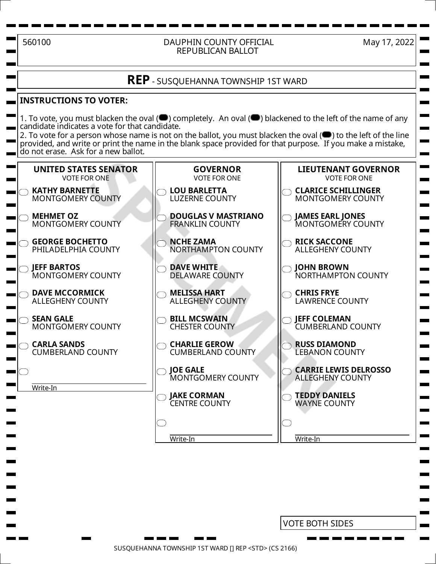## 560100 DAUPHIN COUNTY OFFICIAL REPUBLICAN BALLOT

May 17, 2022

## **REP** - SUSQUEHANNA TOWNSHIP 1ST WARD

## **INSTRUCTIONS TO VOTER:**

1. To vote, you must blacken the oval (O) completely. An oval (O) blackened to the left of the name of any candidate indicates a vote for that candidate.

2. To vote for a person whose name is not on the ballot, you must blacken the oval  $($ **)** to the left of the line provided, and write or print the name in the blank space provided for that purpose. If you make a mistake, do not erase. Ask for a new ballot.